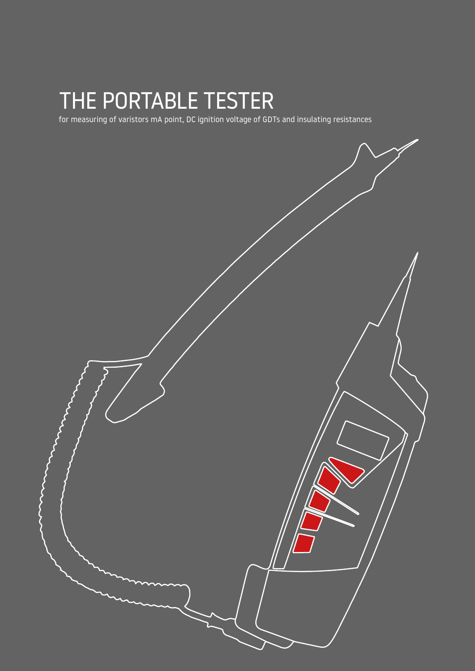# THE PORTABLE TESTER

for measuring of varistors mA point, DC ignition voltage of GDTs and insulating resistances